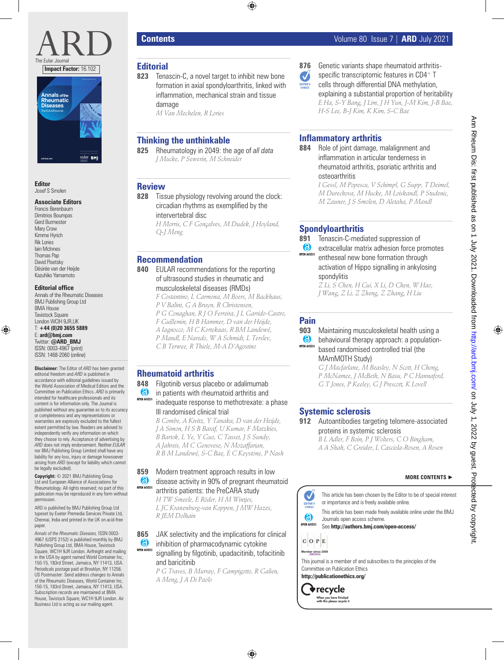

**Editor** Josef S Smolen

#### **Associate Editors**

Francis Berenbaum Dimitrios Boumpas Gerd Burmester Mary Crow Kimme Hyrich Rik Lories Iain McInnes Thomas Pap David Pisetsky Désirée van der Heijde Kazuhiko Yamamoto

#### **Editorial office**

Annals of the Rheumatic Diseases BMJ Publishing Group Ltd BMA House Tavistock Square London WCIH 9JR UK T: **+44 (0)20 3655 5889** E: **ard@bmj.com** Twitter: **@ARD\_BMJ** ISSN: 0003-4967 (print) ISSN: 1468-2060 (online)

**Disclaimer:** The Editor of *ARD* has been granted editorial freedom and *ARD* is published in accordance with editorial guidelines issued by the World Association of Medical Editors and the Committee on Publication Ethics. *ARD* is primarily intended for healthcare professionals and its content is for information only. The Journal is published without any guarantee as to its accuracy or completeness and any representations or warranties are expressly excluded to the fullest extent permitted by law. Readers are advised to independently verify any information on which they choose to rely. Acceptance of advertising by *ARD* does not imply endorsement. Neither *EULAR* nor BMJ Publishing Group Limited shall have any liability for any loss, injury or damage howsoever arising from *ARD* (except for liability which cannot be legally excluded). **Annals street Diseases**<br> **Business The State Editors**<br> **Business Ltd is action**<br> **Business Englementary and Annual Context State Business Pages 824–960 Annual Context State Business Pages 84 Pages 824–960 Annual Pages 824** 

**Copyright:** © 2021 BMJ Publishing Group Ltd and European Alliance of Associations for Rheumatology. All rights reserved; no part of this publication may be reproduced in any form without permission.

ARD is published by BMJ Publishing Group Ltd typeset by Exeter Premedia Services Private Ltd, Chennai, India and printed in the UK on acid-free paper.

*Annals of the Rheumatic Diseases,* ISSN 0003- 4967 (USPS 2152) is published monthly by BMJ Publishing Group Ltd, BMA House, Tavistock Square, WC1H 9JR London. Airfreight and mailing in the USA by agent named World Container Inc, 150-15, 183rd Street, Jamaica, NY 11413, USA. Periodicals postage paid at Brooklyn, NY 11256. US Postmaster: Send address changes to Annals of the Rheumatic Diseases, World Container Inc, 150-15, 183rd Street, Jamaica, NY 11413, USA. Subscription records are maintained at BMA House, Tavistock Square, WC1H 9JR London. Air

# **Editorial**

**823** Tenascin-C, a novel target to inhibit new bone formation in axial spondyloarthritis, linked with inflammation, mechanical strain and tissue damage

*M Van Mechelen, R Lories*

# **Thinking the unthinkable**

**825** Rheumatology in 2049: the age of *all data J Mucke, P Sewerin, M Schneider*

### **Review**

**828** Tissue physiology revolving around the clock: circadian rhythms as exemplified by the intervertebral disc

> *H Morris, C F Gonçalves, M Dudek, J Hoyland, Q-J Meng*

# **Recommendation**

**840** EULAR recommendations for the reporting of ultrasound studies in rheumatic and musculoskeletal diseases (RMDs)

> *F Costantino, L Carmona, M Boers, M Backhaus, P V Balint, G A Bruyn, R Christensen,*

- *P G Conaghan, R J O Ferreira, J L Garrido-Castro,*
- *F Guillemin, H B Hammer, D van der Heijde, A Iagnocco, M C Kortekaas, R BM Landewé,*
- *P Mandl, E Naredo, W A Schmidt, L Terslev, C B Terwee, R Thiele, M-A D'Agostino*

### **Rheumatoid arthritis**

- **848** Filgotinib versus placebo or adalimumab 6 in patients with rheumatoid arthritis and OPEN ACCESS inadequate response to methotrexate: a phase
	- III randomised clinical trial

*B Combe, A Kivitz, Y Tanaka, D van der Heijde, J A Simon, H S B Baraf, U Kumar, F Matzkies, B Bartok, L Ye, Y Guo, C Tasset, J S Sundy, A Jahreis, M C Genovese, N Mozaffarian, R B M Landewé, S-C Bae, E C Keystone, P Nash*

#### **859** Modern treatment approach results in low 6 disease activity in 90% of pregnant rheumatoid **OPEN ACCESS** arthritis patients: the PreCARA study

*H TW Smeele, E Röder, H M Wintjes, L JC Kranenburg-van Koppen, J MW Hazes, R JEM Dolhain*

**865** JAK selectivity and the implications for clinical  $\bullet$ inhibition of pharmacodynamic cytokine **OPEN ACCESS** signalling by filgotinib, upadacitinib, tofacitinib and baricitinib

> *P G Traves, B Murray, F Campigotto, R Galien, A Meng, J A Di Paolo*

- Ø
- **876** Genetic variants shape rheumatoid arthritisspecific transcriptomic features in CD4+ T
	- cells through differential DNA methylation, explaining a substantial proportion of heritability *E Ha, S-Y Bang, J Lim, J H Yun, J-M Kim, J-B Bae, H-S Lee, B-J Kim, K Kim, S-C Bae*

# **Inflammatory arthritis**

**884** Role of joint damage, malalignment and inflammation in articular tenderness in rheumatoid arthritis, psoriatic arthritis and osteoarthritis

*I Gessl, M Popescu, V Schimpl, G Supp, T Deimel, M Durechova, M Hucke, M Loiskandl, P Studenic, M Zauner, J S Smolen, D Aletaha, P Mandl*

# **Spondyloarthritis**

**891** Tenascin-C-mediated suppression of 6 extracellular matrix adhesion force promotes OPEN ACCESS entheseal new bone formation through activation of Hippo signalling in ankylosing spondylitis

*Z Li, S Chen, H Cui, X Li, D Chen, W Hao, J Wang, Z Li, Z Zheng, Z Zhang, H Liu*

## **Pain**

**903** Maintaining musculoskeletal health using a  $\bullet$ behavioural therapy approach: a population-**OPEN ACCESS** based randomised controlled trial (the MAmMOTH Study)

*G J Macfarlane, M Beasley, N Scott, H Chong, P McNamee, J McBeth, N Basu, P C Hannaford, G T Jones, P Keeley, G J Prescott, K Lovell*

### **Systemic sclerosis**

**912** Autoantibodies targeting telomere-associated proteins in systemic sclerosis *B L Adler, F Boin, P J Wolters, C O Bingham,* 

*A A Shah, C Greider, L Casciola-Rosen, A Rosen*

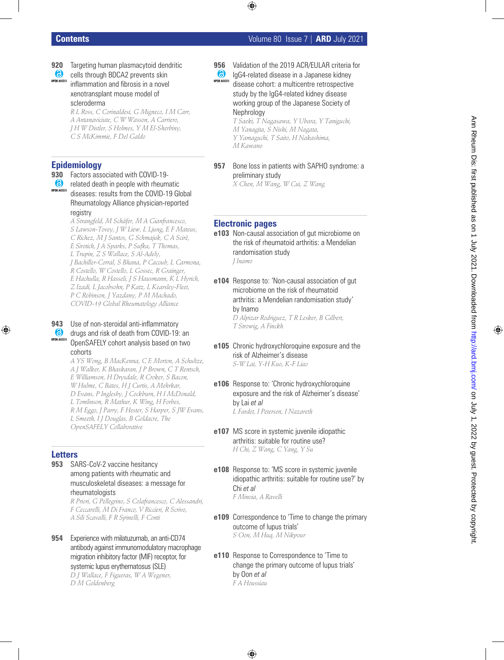- **920** Targeting human plasmacytoid dendritic
- $\bullet$ cells through BDCA2 prevents skin **OPEN ACCESS** inflammation and fibrosis in a novel xenotransplant mouse model of scleroderma

*R L Ross, C Corinaldesi, G Migneco, I M Carr, A Antanaviciute, C W Wasson, A Carriero, J H W Distler, S Holmes, Y M El-Sherbiny, C S McKimmie, F Del Galdo*

# **Epidemiology**

**930** Factors associated with COVID-19-

**6** related death in people with rheumatic **OPEN ACCESS** diseases: results from the COVID-19 Global Rheumatology Alliance physician-reported registry

> *A Strangfeld, M Schäfer, M A Gianfrancesco, S Lawson-Tovey, J W Liew, L Ljung, E F Mateus, C Richez, M J Santos, G Schmajuk, C A Scirè, E Sirotich, J A Sparks, P Sufka, T Thomas, L Trupin, Z S Wallace, S Al-Adely, J Bachiller-Corral, S Bhana, P Cacoub, L Carmona, R Costello, W Costello, L Gossec, R Grainger, E Hachulla, R Hasseli, J S Hausmann, K L Hyrich, Z Izadi, L Jacobsohn, P Katz, L Kearsley-Fleet, P C Robinson, J Yazdany, P M Machado, COVID-19 Global Rheumatology Alliance*

#### **943** Use of non-steroidal anti-inflammatory 6 drugs and risk of death from COVID-19: an **OPEN ACCESS** OpenSAFELY cohort analysis based on two cohorts

*A YS Wong, B MacKenna, C E Morton, A Schultze, A J Walker, K Bhaskaran, J P Brown, C T Rentsch, E Williamson, H Drysdale, R Croker, S Bacon, W Hulme, C Bates, H J Curtis, A Mehrkar, D Evans, P Inglesby, J Cockburn, H I McDonald, L Tomlinson, R Mathur, K Wing, H Forbes, R M Eggo, J Parry, F Hester, S Harper, S JW Evans, L Smeeth, I J Douglas, B Goldacre, The OpenSAFELY Collaborative*

# **Letters**

**953** SARS-CoV-2 vaccine hesitancy among patients with rheumatic and musculoskeletal diseases: a message for rheumatologists

> *R Priori, G Pellegrino, S Colafrancesco, C Alessandri, F Ceccarelli, M Di Franco, V Riccieri, R Scrivo, A Sili Scavalli, F R Spinelli, F Conti*

**954** Experience with milatuzumab, an anti-CD74 antibody against immunomodulatory macrophage migration inhibitory factor (MIF) receptor, for systemic lupus erythematosus (SLE)

*D J Wallace, F Figueras, W A Wegener, D M Goldenberg*

- **956** Validation of the 2019 ACR/EULAR criteria for
- $\bullet$ IgG4-related disease in a Japanese kidney **OPEN ACCESS** disease cohort: a multicentre retrospective study by the IgG4-related kidney disease working group of the Japanese Society of **Nephrology**

*T Saeki, T Nagasawa, Y Ubara, Y Taniguchi, M Yanagita, S Nishi, M Nagata, Y Yamaguchi, T Saito, H Nakashima, M Kawano*

**957** Bone loss in patients with SAPHO syndrome: a preliminary study *X Chen, M Wang, W Cui, Z Wang*

# **Electronic pages**

- **e103** Non-causal association of gut microbiome on the risk of rheumatoid arthritis: a Mendelian randomisation study *J Inamo*
- **e104** Response to: 'Non-causal association of gut microbiome on the risk of rheumatoid arthritis: a Mendelian randomisation study' by Inamo *D Alpizar Rodriguez, T R Lesker, B Gilbert,*

*T Strowig, A Finckh*

- **e105** Chronic hydroxychloroquine exposure and the risk of Alzheimer's disease *S-W Lai, Y-H Kuo, K-F Liao*
- **e106** Response to: 'Chronic hydroxychloroquine exposure and the risk of Alzheimer's disease' by Lai *et al L Fardet, I Petersen, I Nazareth*
- **e107** MS score in systemic juvenile idiopathic arthritis: suitable for routine use? *H Chi, Z Wang, C Yang, Y Su*
- **e108** Response to: 'MS score in systemic juvenile idiopathic arthritis: suitable for routine use?' by Chi *et al F Minoia, A Ravelli*
- **e109** Correspondence to 'Time to change the primary outcome of lupus trials' *S Oon, M Huq, M Nikpour*
- **e110** Response to Correspondence to 'Time to change the primary outcome of lupus trials' by Oon *et al F A Houssiau*